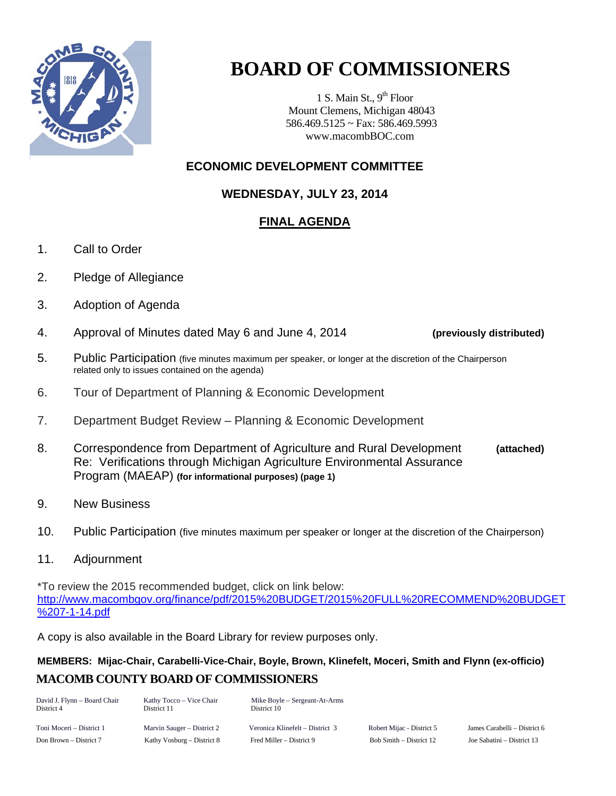

## **BOARD OF COMMISSIONERS**

1 S. Main St.,  $9<sup>th</sup>$  Floor Mount Clemens, Michigan 48043 586.469.5125 ~ Fax: 586.469.5993 www.macombBOC.com

## **ECONOMIC DEVELOPMENT COMMITTEE**

**WEDNESDAY, JULY 23, 2014** 

## **FINAL AGENDA**

- 1. Call to Order
- 2. Pledge of Allegiance
- 3. Adoption of Agenda
- 4. Approval of Minutes dated May 6 and June 4, 2014 **(previously distributed)**
- 5. Public Participation (five minutes maximum per speaker, or longer at the discretion of the Chairperson related only to issues contained on the agenda)
- 6. Tour of Department of Planning & Economic Development
- 7. Department Budget Review Planning & Economic Development
- 8. Correspondence from Department of Agriculture and Rural Development **(attached)** Re: Verifications through Michigan Agriculture Environmental Assurance Program (MAEAP) **(for informational purposes) (page 1)**
- 9. New Business
- 10. Public Participation (five minutes maximum per speaker or longer at the discretion of the Chairperson)
- 11. Adjournment

\*To review the 2015 recommended budget, click on link below: [http://www.macombgov.org/finance/pdf/2015%20BUDGET/2015%20FULL%20RECOMMEND%20BUDGET](http://www.macombgov.org/finance/pdf/2015%20BUDGET/2015%20FULL%20RECOMMEND%20BUDGET%207-1-14.pdf) [%207-1-14.pdf](http://www.macombgov.org/finance/pdf/2015%20BUDGET/2015%20FULL%20RECOMMEND%20BUDGET%207-1-14.pdf)

A copy is also available in the Board Library for review purposes only.

## **MACOMB COUNTY BOARD OF COMMISSIONERS MEMBERS: Mijac-Chair, Carabelli-Vice-Chair, Boyle, Brown, Klinefelt, Moceri, Smith and Flynn (ex-officio)**

| David J. Flynn - Board Chair<br>District 4 | Kathy Tocco – Vice Chair<br>District 11 | Mike Boyle – Sergeant-At-Arms<br>District 10 |                           |                              |
|--------------------------------------------|-----------------------------------------|----------------------------------------------|---------------------------|------------------------------|
| Toni Moceri – District 1                   | Marvin Sauger – District 2              | Veronica Klinefelt – District 3              | Robert Mijac - District 5 | James Carabelli – District 6 |
| Don Brown – District 7                     | Kathy Vosburg – District 8              | Fred Miller – District 9                     | Bob Smith – District 12   | Joe Sabatini – District 13   |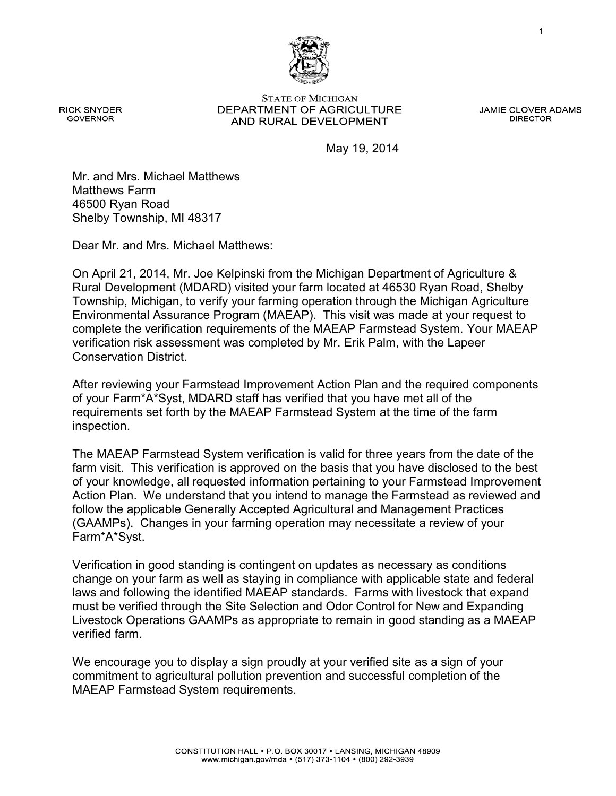**STATE OF MICHIGAN** DEPARTMENT OF AGRICULTURE AND RURAL DEVELOPMENT

**JAMIE CLOVER ADAMS DIRECTOR** 

1

May 19, 2014

Mr. and Mrs. Michael Matthews Matthews Farm 46500 Ryan Road Shelby Township, MI 48317

Dear Mr. and Mrs. Michael Matthews:

On April 21, 2014, Mr. Joe Kelpinski from the Michigan Department of Agriculture & Rural Development (MDARD) visited your farm located at 46530 Ryan Road, Shelby Township, Michigan, to verify your farming operation through the Michigan Agriculture Environmental Assurance Program (MAEAP). This visit was made at your request to complete the verification requirements of the MAEAP Farmstead System. Your MAEAP verification risk assessment was completed by Mr. Erik Palm, with the Lapeer Conservation District.

After reviewing your Farmstead Improvement Action Plan and the required components of your Farm\*A\*Syst, MDARD staff has verified that you have met all of the requirements set forth by the MAEAP Farmstead System at the time of the farm inspection.

The MAEAP Farmstead System verification is valid for three years from the date of the farm visit. This verification is approved on the basis that you have disclosed to the best of your knowledge, all requested information pertaining to your Farmstead Improvement Action Plan. We understand that you intend to manage the Farmstead as reviewed and follow the applicable Generally Accepted Agricultural and Management Practices (GAAMPs). Changes in your farming operation may necessitate a review of your Farm\*A\*Syst.

Verification in good standing is contingent on updates as necessary as conditions change on your farm as well as staying in compliance with applicable state and federal laws and following the identified MAEAP standards. Farms with livestock that expand must be verified through the Site Selection and Odor Control for New and Expanding Livestock Operations GAAMPs as appropriate to remain in good standing as a MAEAP verified farm.

We encourage you to display a sign proudly at your verified site as a sign of your commitment to agricultural pollution prevention and successful completion of the MAEAP Farmstead System requirements.



**RICK SNYDER GOVERNOR**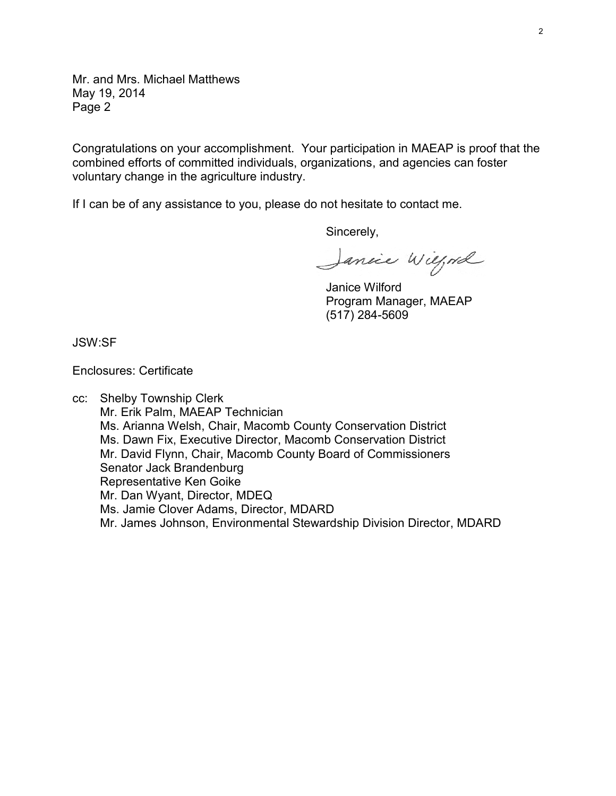Mr. and Mrs. Michael Matthews May 19, 2014 Page 2

Congratulations on your accomplishment. Your participation in MAEAP is proof that the combined efforts of committed individuals, organizations, and agencies can foster voluntary change in the agriculture industry.

If I can be of any assistance to you, please do not hesitate to contact me.

Sincerely,

Jancie Wilford

Janice Wilford Program Manager, MAEAP (517) 284-5609

JSW:SF

Enclosures: Certificate

cc: Shelby Township Clerk Mr. Erik Palm, MAEAP Technician Ms. Arianna Welsh, Chair, Macomb County Conservation District Ms. Dawn Fix, Executive Director, Macomb Conservation District Mr. David Flynn, Chair, Macomb County Board of Commissioners Senator Jack Brandenburg Representative Ken Goike Mr. Dan Wyant, Director, MDEQ Ms. Jamie Clover Adams, Director, MDARD Mr. James Johnson, Environmental Stewardship Division Director, MDARD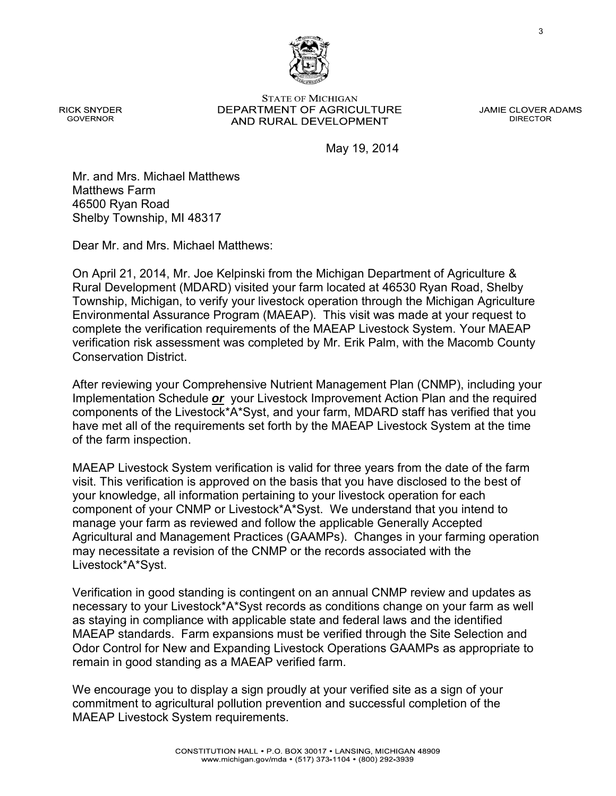3

**STATE OF MICHIGAN** DEPARTMENT OF AGRICULTURE AND RURAL DEVELOPMENT

**JAMIE CLOVER ADAMS DIRECTOR** 

May 19, 2014

Mr. and Mrs. Michael Matthews Matthews Farm 46500 Ryan Road Shelby Township, MI 48317

Dear Mr. and Mrs. Michael Matthews:

On April 21, 2014, Mr. Joe Kelpinski from the Michigan Department of Agriculture & Rural Development (MDARD) visited your farm located at 46530 Ryan Road, Shelby Township, Michigan, to verify your livestock operation through the Michigan Agriculture Environmental Assurance Program (MAEAP). This visit was made at your request to complete the verification requirements of the MAEAP Livestock System. Your MAEAP verification risk assessment was completed by Mr. Erik Palm, with the Macomb County Conservation District.

After reviewing your Comprehensive Nutrient Management Plan (CNMP), including your Implementation Schedule *or* your Livestock Improvement Action Plan and the required components of the Livestock\*A\*Syst, and your farm, MDARD staff has verified that you have met all of the requirements set forth by the MAEAP Livestock System at the time of the farm inspection.

MAEAP Livestock System verification is valid for three years from the date of the farm visit. This verification is approved on the basis that you have disclosed to the best of your knowledge, all information pertaining to your livestock operation for each component of your CNMP or Livestock\*A\*Syst. We understand that you intend to manage your farm as reviewed and follow the applicable Generally Accepted Agricultural and Management Practices (GAAMPs). Changes in your farming operation may necessitate a revision of the CNMP or the records associated with the Livestock\*A\*Syst.

Verification in good standing is contingent on an annual CNMP review and updates as necessary to your Livestock\*A\*Syst records as conditions change on your farm as well as staying in compliance with applicable state and federal laws and the identified MAEAP standards. Farm expansions must be verified through the Site Selection and Odor Control for New and Expanding Livestock Operations GAAMPs as appropriate to remain in good standing as a MAEAP verified farm.

We encourage you to display a sign proudly at your verified site as a sign of your commitment to agricultural pollution prevention and successful completion of the MAEAP Livestock System requirements.



**RICK SNYDER GOVERNOR**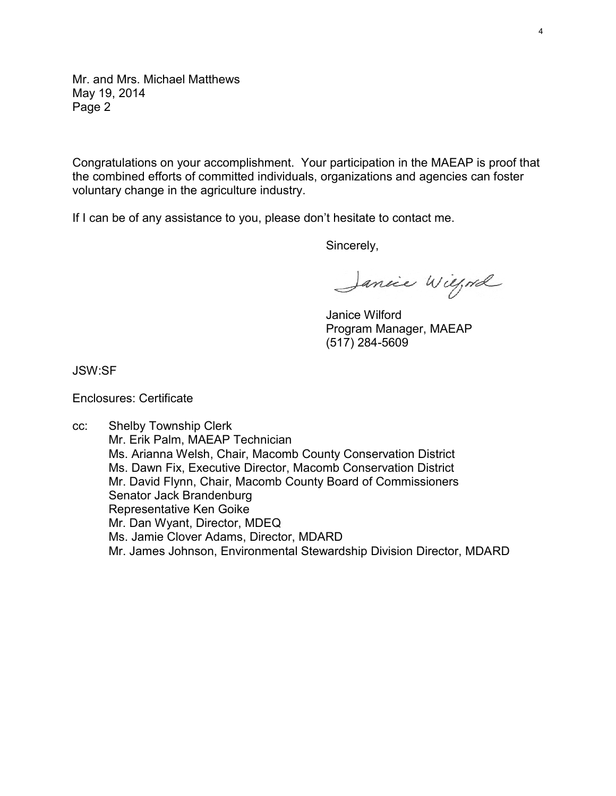Mr. and Mrs. Michael Matthews May 19, 2014 Page 2

Congratulations on your accomplishment. Your participation in the MAEAP is proof that the combined efforts of committed individuals, organizations and agencies can foster voluntary change in the agriculture industry.

If I can be of any assistance to you, please don't hesitate to contact me.

Sincerely,

Janice Wilford

Janice Wilford Program Manager, MAEAP (517) 284-5609

JSW:SF

Enclosures: Certificate

cc: Shelby Township Clerk Mr. Erik Palm, MAEAP Technician Ms. Arianna Welsh, Chair, Macomb County Conservation District Ms. Dawn Fix, Executive Director, Macomb Conservation District Mr. David Flynn, Chair, Macomb County Board of Commissioners Senator Jack Brandenburg Representative Ken Goike Mr. Dan Wyant, Director, MDEQ Ms. Jamie Clover Adams, Director, MDARD Mr. James Johnson, Environmental Stewardship Division Director, MDARD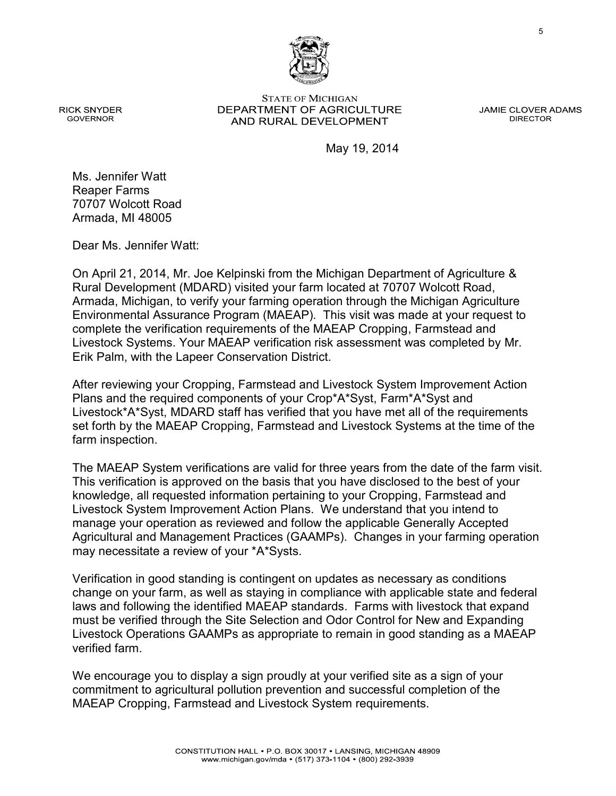**STATE OF MICHIGAN** DEPARTMENT OF AGRICULTURE AND RURAL DEVELOPMENT

**JAMIE CLOVER ADAMS DIRECTOR** 

5

May 19, 2014

**GOVERNOR** 

**RICK SNYDER** 

Ms. Jennifer Watt Reaper Farms 70707 Wolcott Road Armada, MI 48005

Dear Ms. Jennifer Watt:

On April 21, 2014, Mr. Joe Kelpinski from the Michigan Department of Agriculture & Rural Development (MDARD) visited your farm located at 70707 Wolcott Road, Armada, Michigan, to verify your farming operation through the Michigan Agriculture Environmental Assurance Program (MAEAP). This visit was made at your request to complete the verification requirements of the MAEAP Cropping, Farmstead and Livestock Systems. Your MAEAP verification risk assessment was completed by Mr. Erik Palm, with the Lapeer Conservation District.

After reviewing your Cropping, Farmstead and Livestock System Improvement Action Plans and the required components of your Crop\*A\*Syst, Farm\*A\*Syst and Livestock\*A\*Syst, MDARD staff has verified that you have met all of the requirements set forth by the MAEAP Cropping, Farmstead and Livestock Systems at the time of the farm inspection.

The MAEAP System verifications are valid for three years from the date of the farm visit. This verification is approved on the basis that you have disclosed to the best of your knowledge, all requested information pertaining to your Cropping, Farmstead and Livestock System Improvement Action Plans. We understand that you intend to manage your operation as reviewed and follow the applicable Generally Accepted Agricultural and Management Practices (GAAMPs). Changes in your farming operation may necessitate a review of your \*A\*Systs.

Verification in good standing is contingent on updates as necessary as conditions change on your farm, as well as staying in compliance with applicable state and federal laws and following the identified MAEAP standards. Farms with livestock that expand must be verified through the Site Selection and Odor Control for New and Expanding Livestock Operations GAAMPs as appropriate to remain in good standing as a MAEAP verified farm.

We encourage you to display a sign proudly at your verified site as a sign of your commitment to agricultural pollution prevention and successful completion of the MAEAP Cropping, Farmstead and Livestock System requirements.